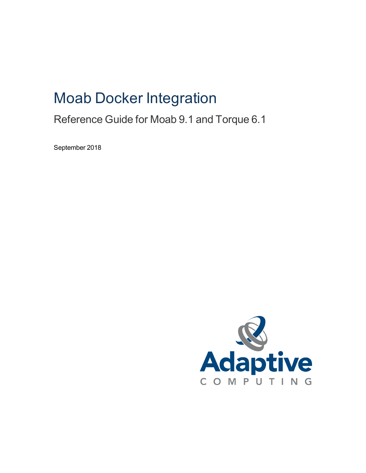# Moab Docker Integration

# Reference Guide for Moab 9.1 and Torque 6.1

September 2018

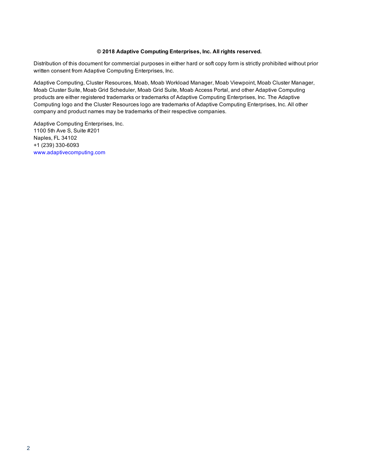#### **© 2018 Adaptive Computing Enterprises, Inc. All rights reserved.**

Distribution of this document for commercial purposes in either hard or soft copy form is strictly prohibited without prior written consent from Adaptive Computing Enterprises, Inc.

Adaptive Computing, Cluster Resources, Moab, Moab Workload Manager, Moab Viewpoint, Moab Cluster Manager, Moab Cluster Suite, Moab Grid Scheduler, Moab Grid Suite, Moab Access Portal, and other Adaptive Computing products are either registered trademarks or trademarks of Adaptive Computing Enterprises, Inc. The Adaptive Computing logo and the Cluster Resources logo are trademarks of Adaptive Computing Enterprises, Inc. All other company and product names may be trademarks of their respective companies.

Adaptive Computing Enterprises, Inc. 1100 5th Ave S, Suite #201 Naples, FL 34102 +1 (239) 330-6093 [www.adaptivecomputing.com](http://www.adaptivecomputing.com/)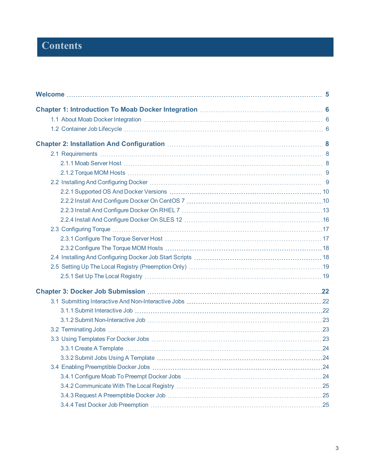# **Contents**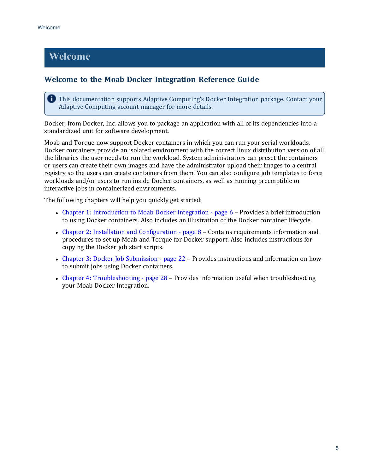# <span id="page-4-0"></span>**Welcome**

#### **Welcome to the Moab Docker Integration Reference Guide**

**This documentation supports Adaptive Computing's Docker Integration package. Contact your** Adaptive Computing account manager for more details.

Docker, from Docker, Inc. allows you to package an application with all of its dependencies into a standardized unit for software development.

Moab and Torque now support Docker containers in which you can run your serial workloads. Docker containers provide an isolated environment with the correct linux distribution version of all the libraries the user needs to run the workload. System administrators can preset the containers or users can create their own images and have the administrator upload their images to a central registry so the users can create containers from them. You can also configure job templates to force workloads and/or users to run inside Docker containers, as well as running preemptible or interactive jobs in containerized environments.

The following chapters will help you quickly get started:

- Chapter 1: [Introduction](#page-5-0) to Moab Docker Integration page  $6$  Provides a brief introduction to using Docker containers. Also includes an illustration of the Docker container lifecycle.
- Chapter 2: Installation and [Configuration](#page-7-0) page 8 Contains requirements information and procedures to set up Moab and Torque for Docker support. Also includes instructions for copying the Docker job start scripts.
- Chapter 3: Docker Job [Submission](#page-21-0) page 22 Provides instructions and information on how to submit jobs using Docker containers.
- Chapter 4: [Troubleshooting](#page-27-0) page  $28$  Provides information useful when troubleshooting your Moab Docker Integration.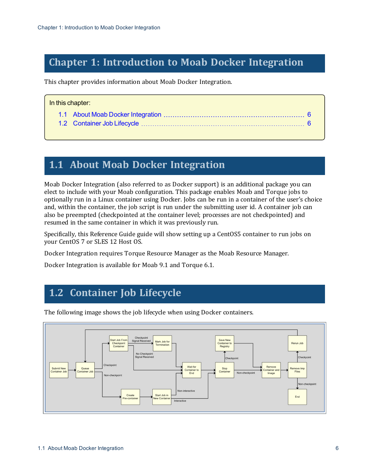# <span id="page-5-0"></span>**Chapter 1: Introduction to Moab Docker Integration**

This chapter provides information about Moab Docker Integration.

| In this chapter: |  |  |
|------------------|--|--|
|                  |  |  |
|                  |  |  |

# <span id="page-5-1"></span>**1.1 About Moab Docker Integration**

Moab Docker Integration (also referred to as Docker support) is an additional package you can elect to include with your Moab configuration. This package enables Moab and Torque jobs to optionally run in a Linux container using Docker. Jobs can be run in a container of the user's choice and, within the container, the job script is run under the submitting user id. A container job can also be preempted (checkpointed at the container level; processes are not checkpointed) and resumed in the same container in which it was previously run.

Specifically, this Reference Guide guide will show setting up a CentOS5 container to run jobs on your CentOS 7 or SLES 12 Host OS.

Docker Integration requires Torque Resource Manager as the Moab Resource Manager.

Docker Integration is available for Moab 9.1 and Torque 6.1.

# <span id="page-5-2"></span>**1.2 Container Job Lifecycle**



The following image shows the job lifecycle when using Docker containers.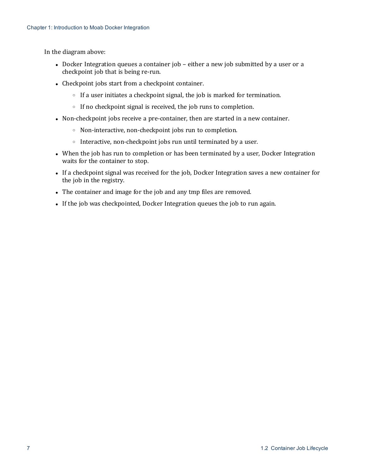In the diagram above:

- Docker Integration queues a container job either a new job submitted by a user or a checkpoint job that is being re-run.
- Checkpoint jobs start from a checkpoint container.
	- <sup>o</sup> If a user initiates a checkpoint signal, the job is marked for termination.
	- <sup>o</sup> If no checkpoint signal is received, the job runs to completion.
- Non-checkpoint jobs receive a pre-container, then are started in a new container.
	- <sup>o</sup> Non-interactive, non-checkpoint jobs run to completion.
	- <sup>o</sup> Interactive, non-checkpoint jobs run until terminated by a user.
- When the job has run to completion or has been terminated by a user, Docker Integration waits for the container to stop.
- If a checkpoint signal was received for the job, Docker Integration saves a new container for the job in the registry.
- The container and image for the job and any tmp files are removed.
- If the job was checkpointed, Docker Integration queues the job to run again.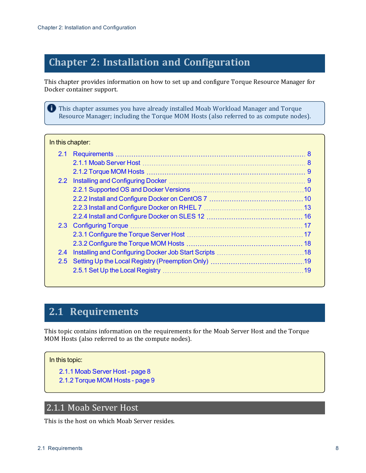# <span id="page-7-0"></span>**Chapter 2: Installation and Configuration**

This chapter provides information on how to set up and configure Torque Resource Manager for Docker container support.

**This chapter assumes you have already installed Moab Workload Manager and Torque** Resource Manager; including the Torque MOM Hosts (also referred to as compute nodes).

#### In this chapter:

| 2.2 |  |
|-----|--|
|     |  |
|     |  |
|     |  |
|     |  |
|     |  |
|     |  |
|     |  |
| 2.4 |  |
|     |  |
|     |  |
|     |  |

# <span id="page-7-1"></span>**2.1 Requirements**

This topic contains information on the requirements for the Moab Server Host and the Torque MOM Hosts (also referred to as the compute nodes).

#### In this topic:

- 2.1.1 Moab [Server](#page-7-2) Host page 8
- 2.1.2 [Torque](#page-8-0) MOM Hosts page 9

### <span id="page-7-2"></span>2.1.1 Moab Server Host

This is the host on which Moab Server resides.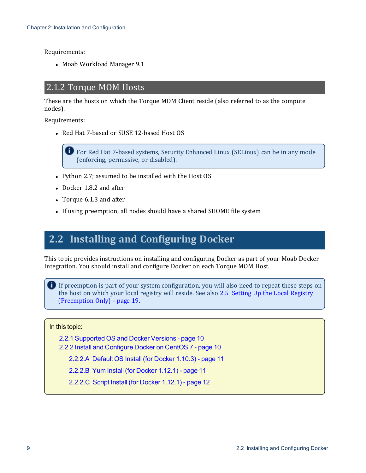Requirements:

<span id="page-8-0"></span>• Moab Workload Manager 9.1

### 2.1.2 Torque MOM Hosts

These are the hosts on which the Torque MOM Client reside (also referred to as the compute nodes).

Requirements:

• Red Hat 7-based or SUSE 12-based Host OS

For Red Hat 7-based systems, Security Enhanced Linux (SELinux) can be in any mode (enforcing, permissive, or disabled).

- Python 2.7; assumed to be installed with the Host OS
- $\bullet$  Docker 1.8.2 and after
- Torque 6.1.3 and after
- If using preemption, all nodes should have a shared \$HOME file system

# <span id="page-8-1"></span>**2.2 Installing and Configuring Docker**

This topic provides instructions on installing and configuring Docker as part of your Moab Docker Integration. You should install and configure Docker on each Torque MOM Host.

If preemption is part of your system configuration, you will also need to repeat these steps on the host on which your local registry will reside. See also 2.5 Setting Up the Local [Registry](#page-18-0) [\(Preemption](#page-18-0) Only) - page 19.

In this topic:

- 2.2.1 [Supported](#page-9-0) OS and Docker Versions page 10
- 2.2.2 Install and [Configure](#page-9-1) Docker on CentOS 7 page 10

2.2.2.A [Default](#page-10-0) OS Install (for Docker 1.10.3) - page 11

2.2.2.B Yum Install (for [Docker](#page-10-1) 1.12.1) - page 11

[2.2.2.C](#page-11-0) Script Install (for Docker 1.12.1) - page 12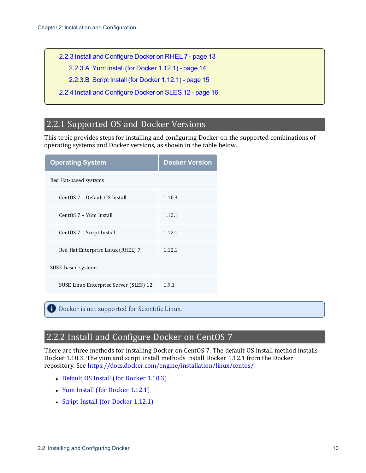2.2.3 Install and [Configure](#page-12-0) Docker on RHEL 7 - page 13

2.2.3.A Yum Install (for [Docker](#page-13-0) 1.12.1) - page 14

2.2.3.B Script Install (for [Docker](#page-14-0) 1.12.1) - page 15

2.2.4 Install and [Configure](#page-15-0) Docker on SLES 12 - page 16

### <span id="page-9-0"></span>2.2.1 Supported OS and Docker Versions

This topic provides steps for installing and configuring Docker on the supported combinations of operating systems and Docker versions, as shown in the table below.

| <b>Operating System</b>                | <b>Docker Version</b> |
|----------------------------------------|-----------------------|
| Red Hat-based systems                  |                       |
| CentOS 7 - Default OS Install          | 1.10.3                |
| CentOS 7 - Yum Install                 | 1.12.1                |
| CentOS 7 – Script Install              | 1.12.1                |
| Red Hat Enterprise Linux (RHEL) 7      | 1.12.1                |
| SUSE-based systems                     |                       |
| SUSE Linux Enterprise Server (SLES) 12 | 1.9.1                 |

<span id="page-9-1"></span>Docker is not supported for Scientific Linux.

## 2.2.2 Install and Configure Docker on CentOS 7

There are three methods for installing Docker on CentOS 7. The default OS install method installs Docker 1.10.3. The yum and script install methods install Docker 1.12.1 from the Docker repository. See <https://docs.docker.com/engine/installation/linux/centos/>.

- Default OS Install (for [Docker](#page-10-0) 1.10.3)
- Yum Install (for [Docker](#page-10-1) 1.12.1)
- Script Install (for [Docker](#page-11-0) 1.12.1)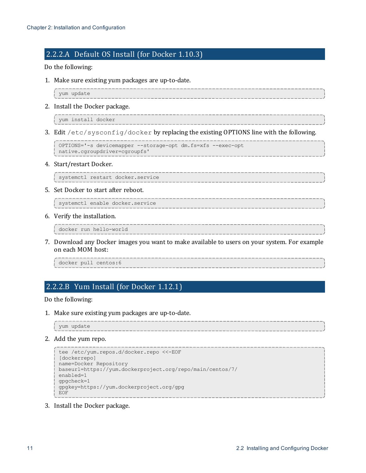#### <span id="page-10-0"></span>2.2.2.A Default OS Install (for Docker 1.10.3)

#### Do the following:

1. Make sure existing yum packages are up-to-date.

yum update

2. Install the Docker package.

yum install docker

3. Edit /etc/sysconfig/docker by replacing the existing OPTIONS line with the following.

OPTIONS='-s devicemapper --storage-opt dm.fs=xfs --exec-opt native.cgroupdriver=cgroupfs'

4. Start/restart Docker.

systemctl restart docker.service

5. Set Docker to start after reboot.

systemctl enable docker.service

6. Verify the installation.

docker run hello-world

7. Download any Docker images you want to make available to users on your system. For example on each MOM host:

docker pull centos:6

### <span id="page-10-1"></span>2.2.2.B Yum Install (for Docker 1.12.1)

Do the following:

1. Make sure existing yum packages are up-to-date.

yum update

2. Add the yum repo.

```
tee /etc/yum.repos.d/docker.repo <<-EOF
[dockerrepo]
name=Docker Repository
baseurl=https://yum.dockerproject.org/repo/main/centos/7/
enabled=1
gpgcheck=1
gpgkey=https://yum.dockerproject.org/gpg
EOF
```
3. Install the Docker package.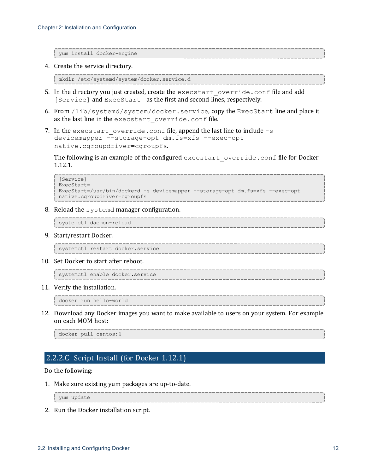yum install docker-engine

4. Create the service directory.

```
mkdir /etc/systemd/system/docker.service.d
```
- 5. In the directory you just created, create the execstart override.conf file and add [Service] and ExecStart= as the first and second lines, respectively.
- 6. From /lib/systemd/system/docker.service, copy the ExecStart line and place it as the last line in the execstart override.conf file.
- 7. In the execstart override.conf file, append the last line to include -s devicemapper --storage-opt dm.fs=xfs --exec-opt native.cgroupdriver=cgroupfs.

The following is an example of the configured execstart override.conf file for Docker 1.12.1.

```
[Service]
ExecStart=
ExecStart=/usr/bin/dockerd -s devicemapper --storage-opt dm.fs=xfs --exec-opt
native.cgroupdriver=cgroupfs
```
8. Reload the systemd manager configuration.

```
systemctl daemon-reload
```
9. Start/restart Docker.

systemctl restart docker.service

10. Set Docker to start after reboot.

systemctl enable docker.service

11. Verify the installation.

docker run hello-world

12. Download any Docker images you want to make available to users on your system. For example on each MOM host:

docker pull centos:6

#### <span id="page-11-0"></span>2.2.2.C Script Install (for Docker 1.12.1)

#### Do the following:

1. Make sure existing yum packages are up-to-date.

yum update

2. Run the Docker installation script.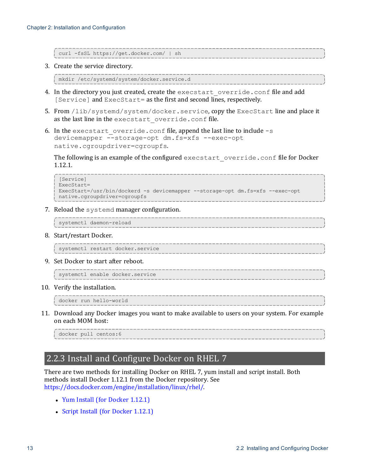curl -fsSL https://get.docker.com/ | sh

3. Create the service directory.

```
mkdir /etc/systemd/system/docker.service.d
```
- 4. In the directory you just created, create the execstart override.conf file and add [Service] and ExecStart= as the first and second lines, respectively.
- 5. From /lib/systemd/system/docker.service, copy the ExecStart line and place it as the last line in the execstart override.conf file.
- 6. In the execstart override.conf file, append the last line to include  $-s$ devicemapper --storage-opt dm.fs=xfs --exec-opt native.cgroupdriver=cgroupfs.

The following is an example of the configured execstart override.conf file for Docker 1.12.1.

```
[Service]
ExecStart=
ExecStart=/usr/bin/dockerd -s devicemapper --storage-opt dm.fs=xfs --exec-opt
native.cgroupdriver=cgroupfs
```
7. Reload the systemd manager configuration.

```
systemctl daemon-reload
```
8. Start/restart Docker.

systemctl restart docker.service

9. Set Docker to start after reboot.

systemctl enable docker.service

10. Verify the installation.

docker run hello-world

11. Download any Docker images you want to make available to users on your system. For example on each MOM host:

<span id="page-12-0"></span>docker pull centos:6

### 2.2.3 Install and Configure Docker on RHEL 7

There are two methods for installing Docker on RHEL 7, yum install and script install. Both methods install Docker 1.12.1 from the Docker repository. See <https://docs.docker.com/engine/installation/linux/rhel/>.

- Yum Install (for [Docker](#page-13-0) 1.12.1)
- Script Install (for [Docker](#page-14-0) 1.12.1)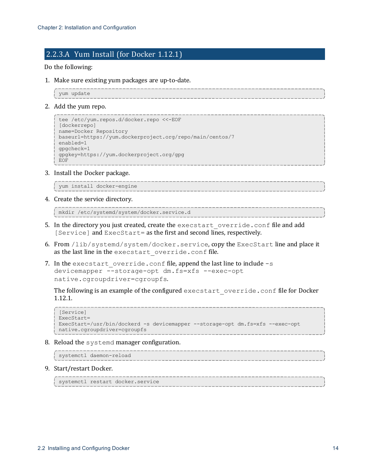#### <span id="page-13-0"></span>2.2.3.A Yum Install (for Docker 1.12.1)

Do the following:

1. Make sure existing yum packages are up-to-date.

```
yum update
```
2. Add the yum repo.

```
tee /etc/yum.repos.d/docker.repo <<-EOF
[dockerrepo]
name=Docker Repository
baseurl=https://yum.dockerproject.org/repo/main/centos/7
enabled=1
gpgcheck=1
gpgkey=https://yum.dockerproject.org/gpg
EOF
```
3. Install the Docker package.

```
yum install docker-engine
```
4. Create the service directory.

```
mkdir /etc/systemd/system/docker.service.d
```
- 5. In the directory you just created, create the execstart override.conf file and add [Service] and ExecStart= as the first and second lines, respectively.
- 6. From /lib/systemd/system/docker.service, copy the ExecStart line and place it as the last line in the execstart override.conf file.
- 7. In the execstart override.conf file, append the last line to include  $-s$ devicemapper --storage-opt dm.fs=xfs --exec-opt native.cgroupdriver=cgroupfs.

The following is an example of the configured execstart override.conf file for Docker 1.12.1.

```
[Service]
ExecStart=
ExecStart=/usr/bin/dockerd -s devicemapper --storage-opt dm.fs=xfs --exec-opt
native.cgroupdriver=cgroupfs
```
8. Reload the systemd manager configuration.

```
systemctl daemon-reload
```
9. Start/restart Docker.

```
systemctl restart docker.service
```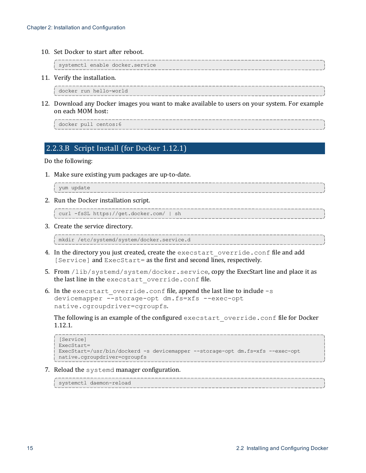10. Set Docker to start after reboot.

```
systemctl enable docker.service
```
11. Verify the installation.

```
docker run hello-world
```
12. Download any Docker images you want to make available to users on your system. For example on each MOM host:

```
docker pull centos:6
```
#### <span id="page-14-0"></span>2.2.3.B Script Install (for Docker 1.12.1)

#### Do the following:

1. Make sure existing yum packages are up-to-date.

```
yum update
```
2. Run the Docker installation script.

curl -fsSL https://get.docker.com/ | sh

3. Create the service directory.

```
mkdir /etc/systemd/system/docker.service.d
```
- 4. In the directory you just created, create the execstart override.conf file and add [Service] and ExecStart= as the first and second lines, respectively.
- 5. From /lib/systemd/system/docker.service, copy the ExecStart line and place it as the last line in the execstart override.conf file.
- 6. In the execstart override.conf file, append the last line to include  $-s$ devicemapper --storage-opt dm.fs=xfs --exec-opt native.cgroupdriver=cgroupfs.

The following is an example of the configured execstart override.conf file for Docker 1.12.1.

```
[Service]
ExecStart=
ExecStart=/usr/bin/dockerd -s devicemapper --storage-opt dm.fs=xfs --exec-opt
native.cgroupdriver=cgroupfs
```
7. Reload the systemd manager configuration.

systemctl daemon-reload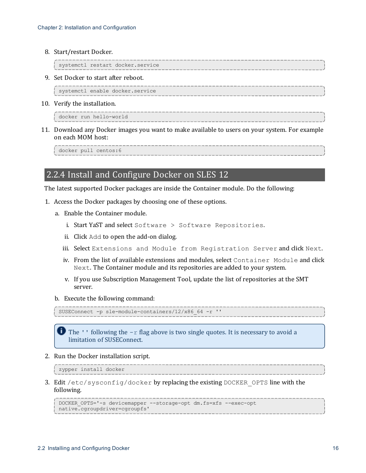8. Start/restart Docker.

```
systemctl restart docker.service
```
9. Set Docker to start after reboot.

systemctl enable docker.service

10. Verify the installation.

docker run hello-world

11. Download any Docker images you want to make available to users on your system. For example on each MOM host:

<span id="page-15-0"></span>docker pull centos:6

#### 2.2.4 Install and Configure Docker on SLES 12

The latest supported Docker packages are inside the Container module. Do the following:

- 1. Access the Docker packages by choosing one of these options.
	- a. Enable the Container module.
		- i. Start YaST and select Software > Software Repositories.
		- ii. Click Add to open the add-on dialog.
		- iii. Select Extensions and Module from Registration Server and click Next.
		- iv. From the list of available extensions and modules, select Container Module and click Next. The Container module and its repositories are added to your system.
		- v. If you use Subscription Management Tool, update the list of repositories at the SMT server.
	- b. Execute the following command:

```
SUSEConnect -p sle-module-containers/12/x86_64 -r ''
```
The  $\cdot$  ' following the  $-x$  flag above is two single quotes. It is necessary to avoid a limitation of SUSEConnect.

2. Run the Docker installation script.

zypper install docker

3. Edit /etc/sysconfig/docker by replacing the existing DOCKER\_OPTS line with the following.

```
DOCKER_OPTS='-s devicemapper --storage-opt dm.fs=xfs --exec-opt
native.cgroupdriver=cgroupfs'
```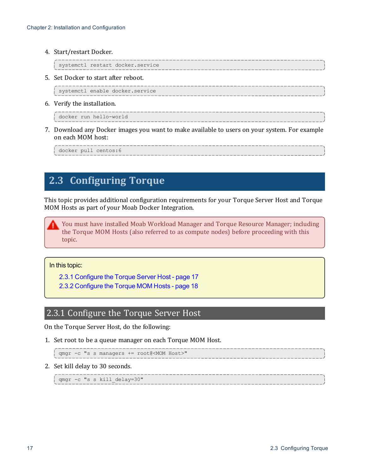4. Start/restart Docker.

```
systemctl restart docker.service
```
5. Set Docker to start after reboot.

systemctl enable docker.service

6. Verify the installation.

docker run hello-world

7. Download any Docker images you want to make available to users on your system. For example on each MOM host:

docker pull centos:6

# <span id="page-16-0"></span>**2.3 Configuring Torque**

This topic provides additional configuration requirements for your Torque Server Host and Torque MOM Hosts as part of your Moab Docker Integration.

You must have installed Moab Workload Manager and Torque Resource Manager; including the Torque MOM Hosts (also referred to as compute nodes) before proceeding with this topic.

In this topic:

2.3.1 [Configure](#page-16-1) the Torque Server Host - page 17

2.3.2 [Configure](#page-17-0) the Torque MOM Hosts - page 18

### <span id="page-16-1"></span>2.3.1 Configure the Torque Server Host

On the Torque Server Host, do the following:

1. Set root to be a queue manager on each Torque MOM Host.

```
qmgr -c "s s managers += root@<MOM Host>"
```
2. Set kill delay to 30 seconds.

qmgr -c "s s kill\_delay=30"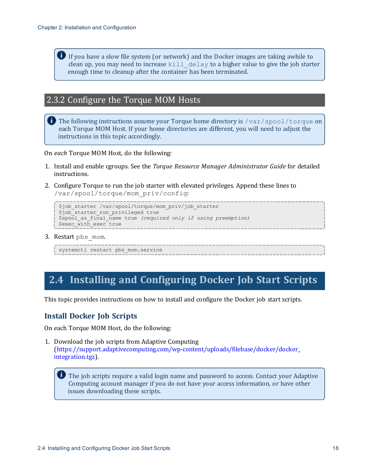If you have a slow file system (or network) and the Docker images are taking awhile to clean up, you may need to increase kill  $de$ lay to a higher value to give the job starter enough time to cleanup after the container has been terminated.

### <span id="page-17-0"></span>2.3.2 Configure the Torque MOM Hosts

The following instructions assume your Torque home directory is  $/\text{var}/\text{spool}/\text{torque}$  on each Torque MOM Host. If your home directories are different, you will need to adjust the instructions in this topic accordingly.

On *each* Torque MOM Host, do the following:

- 1. Install and enable cgroups. See the *Torque Resource Manager Administrator Guide* for detailed instructions.
- 2. Configure Torque to run the job starter with elevated privileges. Append these lines to /var/spool/torque/mom\_priv/config:

```
$job_starter /var/spool/torque/mom_priv/job_starter
$job starter run privileged true
$spool_as_final_name true (required only if using preemption)
$exec with exec true
```
3. Restart pbs mom.

```
systemctl restart pbs_mom.service
```
# <span id="page-17-1"></span>**2.4 Installing and Configuring Docker Job Start Scripts**

This topic provides instructions on how to install and configure the Docker job start scripts.

#### **Install Docker Job Scripts**

On each Torque MOM Host, do the following:

1. Download the job scripts from Adaptive Computing ([https://support.adaptivecomputing.com/wp-content/uploads/filebase/docker/docker\\_](https://support.adaptivecomputing.com/wp-content/uploads/filebase/docker/docker_integration.tgz) [integration.tgz](https://support.adaptivecomputing.com/wp-content/uploads/filebase/docker/docker_integration.tgz)).

The job scripts require a valid login name and password to access. Contact your Adaptive Computing account manager if you do not have your access information, or have other issues downloading these scripts.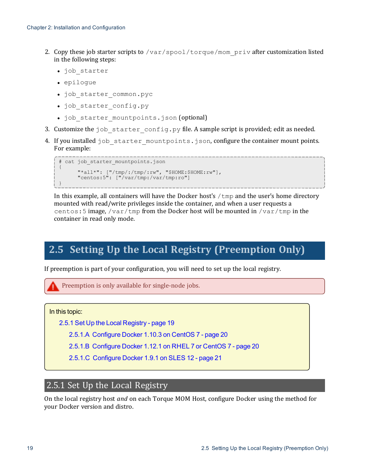- 2. Copy these job starter scripts to /var/spool/torque/mom\_priv after customization listed in the following steps:
	- job starter
	- epiloque
	- $\bullet$  job starter common.pyc
	- job starter config.py
	- . job starter mountpoints.json (optional)
- 3. Customize the job starter config.py file. A sample script is provided; edit as needed.
- 4. If you installed job starter mountpoints.json, configure the container mount points. For example:

```
# cat job starter mountpoints.json
{
      "*all*": ["/tmp/:/tmp/:rw", "$HOME:$HOME:rw"],
      "centos:5": ["/var/tmp:/var/tmp:ro"]
}
```
In this example, all containers will have the Docker host's  $/\text{tmp}$  and the user's home directory mounted with read/write privileges inside the container, and when a user requests a centos: 5 image, /var/tmp from the Docker host will be mounted in /var/tmp in the container in read only mode.

# <span id="page-18-0"></span>**2.5 Setting Up the Local Registry (Preemption Only)**

If preemption is part of your configuration, you will need to set up the local registry.

Preemption is only available for single-node jobs.

In this topic:

2.5.1 Set Up the Local [Registry](#page-18-1) - page 19

2.5.1.A [Configure](#page-19-0) Docker 1.10.3 on CentOS 7 - page 20

2.5.1.B [Configure](#page-19-1) Docker 1.12.1 on RHEL 7 or CentOS 7 - page 20

2.5.1.C [Configure](#page-20-0) Docker 1.9.1 on SLES 12 - page 21

### <span id="page-18-1"></span>2.5.1 Set Up the Local Registry

On the local registry host *and* on each Torque MOM Host, configure Docker using the method for your Docker version and distro.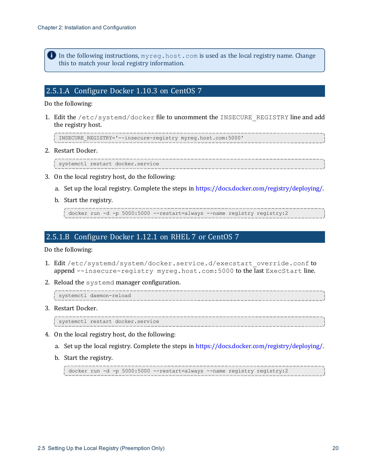In the following instructions,  $myreq$ . host.com is used as the local registry name. Change this to match your local registry information.

#### <span id="page-19-0"></span>2.5.1.A Configure Docker 1.10.3 on CentOS 7

Do the following:

1. Edit the /etc/systemd/docker file to uncomment the INSECURE\_REGISTRY line and add the registry host.

INSECURE\_REGISTRY='--insecure-registry myreg.host.com:5000'

2. Restart Docker.

systemctl restart docker.service

- 3. On the local registry host, do the following:
	- a. Set up the local registry. Complete the steps in <https://docs.docker.com/registry/deploying/>.
	- b. Start the registry.

docker run -d -p 5000:5000 --restart=always --name registry registry:2

#### <span id="page-19-1"></span>2.5.1.B Configure Docker 1.12.1 on RHEL 7 or CentOS 7

Do the following:

- 1. Edit /etc/systemd/system/docker.service.d/execstart\_override.conf to append --insecure-registry myreg.host.com:5000 to the last ExecStart line.
- 2. Reload the systemd manager configuration.

systemctl daemon-reload

3. Restart Docker.

systemctl restart docker.service

- 4. On the local registry host, do the following:
	- a. Set up the local registry. Complete the steps in <https://docs.docker.com/registry/deploying/>.
	- b. Start the registry.

docker run -d -p 5000:5000 --restart=always --name registry registry:2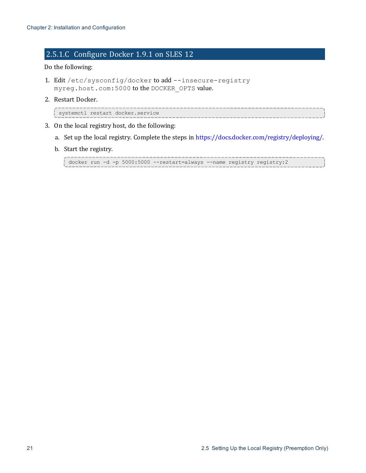### <span id="page-20-0"></span>2.5.1.C Configure Docker 1.9.1 on SLES 12

#### Do the following:

- 1. Edit /etc/sysconfig/docker to add --insecure-registry myreg.host.com:5000 to the DOCKER\_OPTS value.
- 2. Restart Docker.

```
systemctl restart docker.service
```
- 3. On the local registry host, do the following:
	- a. Set up the local registry. Complete the steps in <https://docs.docker.com/registry/deploying/>.
	- b. Start the registry.

```
docker run -d -p 5000:5000 --restart=always --name registry registry:2
```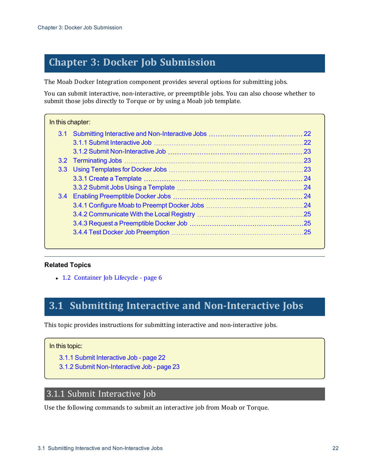# <span id="page-21-0"></span>**Chapter 3: Docker Job Submission**

The Moab Docker Integration component provides several options for submitting jobs.

You can submit interactive, non-interactive, or preemptible jobs. You can also choose whether to submit those jobs directly to Torque or by using a Moab job template.

| In this chapter: |  |     |
|------------------|--|-----|
|                  |  |     |
|                  |  | 22  |
|                  |  |     |
|                  |  | .23 |
|                  |  |     |
|                  |  |     |
|                  |  |     |
|                  |  |     |
|                  |  |     |
|                  |  |     |
|                  |  |     |
|                  |  |     |
|                  |  |     |

#### **Related Topics**

• 1.2 [Container](#page-5-2) Job Lifecycle - page 6

# <span id="page-21-1"></span>**3.1 Submitting Interactive and Non-Interactive Jobs**

This topic provides instructions for submitting interactive and non-interactive jobs.

#### In this topic:

- 3.1.1 Submit [Interactive Job](#page-21-2) page 22
- 3.1.2 Submit [Non-Interactive Job](#page-22-0) page 23

### <span id="page-21-2"></span>3.1.1 Submit Interactive Job

Use the following commands to submit an interactive job from Moab or Torque.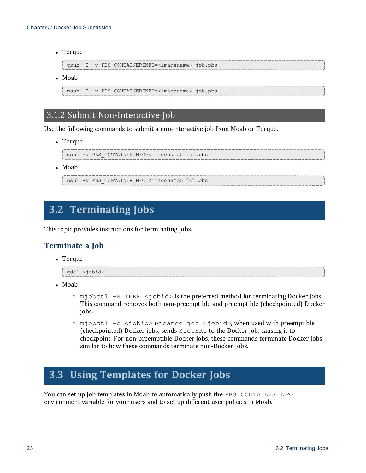• Torque

```
qsub -I -v PBS_CONTAINERINFO=<imagename> job.pbs
```
 $\bullet$  Moab

```
msub -I -v PBS_CONTAINERINFO=<imagename> job.pbs
```
### <span id="page-22-0"></span>3.1.2 Submit Non-Interactive Job

Use the following commands to submit a non-interactive job from Moab or Torque.

• Torque

```
qsub -v PBS_CONTAINERINFO=<imagename> job.pbs
```
 $\bullet$  Moab

msub -v PBS\_CONTAINERINFO=<imagename> job.pbs

# <span id="page-22-1"></span>**3.2 Terminating Jobs**

This topic provides instructions for terminating jobs.

#### **Terminate a Job**

• Torque

```
qdel <jobid>
```
- $\bullet$  Moab
	- $\circ$  mjobctl -N TERM  $\leq$ jobid> is the preferred method for terminating Docker jobs. This command removes both non-preemptible and preemptible (checkpointed) Docker jobs.
	- $\circ$  mjobctl -c <jobid> or canceljob <jobid>, when used with preemptible (checkpointed) Docker jobs, sends SIGUSR1 to the Docker job, causing it to checkpoint. For non-preemptible Docker jobs, these commands terminate Docker jobs similar to how these commands terminate non-Docker jobs.

# <span id="page-22-2"></span>**3.3 Using Templates for Docker Jobs**

You can set up job templates in Moab to automatically push the PBS\_CONTAINERINFO environment variable for your users and to set up different user policies in Moab.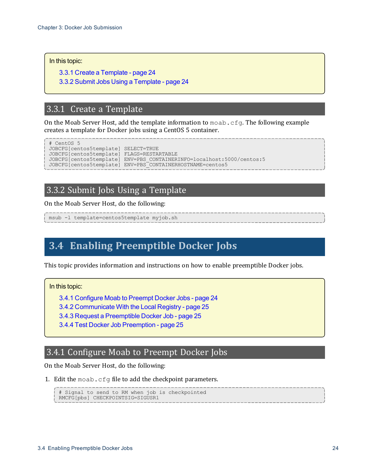In this topic:

3.3.1 Create a [Template](#page-23-0) - page 24

3.3.2 Submit Jobs Using a [Template](#page-23-1) - page 24

### <span id="page-23-0"></span>3.3.1 Create a Template

On the Moab Server Host, add the template information to  $\text{mod }$ ,  $\text{cfg}$ . The following example creates a template for Docker jobs using a CentOS 5 container.

```
# CentOS 5
JOBCFG[centos5template] SELECT=TRUE
JOBCFG[centos5template] FLAGS=RESTARTABLE
JOBCFG[centos5template] ENV=PBS_CONTAINERINFO=localhost:5000/centos:5
JOBCFG[centos5template] ENV=PBS_CONTAINERHOSTNAME=centos5
```
### <span id="page-23-1"></span>3.3.2 Submit Jobs Using a Template

On the Moab Server Host, do the following:

msub -l template=centos5template myjob.sh

# <span id="page-23-2"></span>**3.4 Enabling Preemptible Docker Jobs**

This topic provides information and instructions on how to enable preemptible Docker jobs.

In this topic:

3.4.1 [Configure](#page-23-3) Moab to Preempt Docker Jobs - page 24

3.4.2 [Communicate](#page-24-0) With the Local Registry - page 25

- 3.4.3 Request a [Preemptible](#page-24-1) Docker Job page 25
- 3.4.4 Test Docker Job [Preemption](#page-24-2) page 25

### <span id="page-23-3"></span>3.4.1 Configure Moab to Preempt Docker Jobs

On the Moab Server Host, do the following:

1. Edit the moab.cfg file to add the checkpoint parameters.

# Signal to send to RM when job is checkpointed RMCFG[pbs] CHECKPOINTSIG=SIGUSR1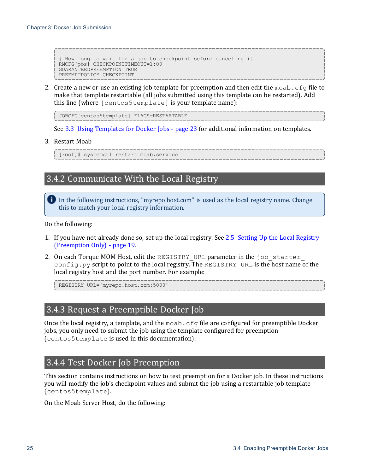# How long to wait for a job to checkpoint before canceling it RMCFG[pbs] CHECKPOINTTIMEOUT=1:00 GUARANTEEDPREEMPTION TRUE PREEMPTPOLICY CHECKPOINT

2. Create a new or use an existing job template for preemption and then edit the moab.cfg file to make that template restartable (all jobs submitted using this template can be restarted). Add this line (where [centos5template] is your template name):

JOBCFG[centos5template] FLAGS=RESTARTABLE

See 3.3 Using [Templates](#page-22-2) for Docker Jobs - page 23 for additional information on templates.

3. Restart Moab

<span id="page-24-0"></span>[root]# systemctl restart moab.service

# 3.4.2 Communicate With the Local Registry

In the following instructions, "myrepo.host.com" is used as the local registry name. Change this to match your local registry information.

Do the following:

- 1. If you have not already done so, set up the local registry. See 2.5 Setting Up the Local [Registry](#page-18-0) [\(Preemption](#page-18-0) Only) - page 19.
- 2. On each Torque MOM Host, edit the REGISTRY URL parameter in the  $\dagger$ ob starter config.py script to point to the local registry. The REGISTRY URL is the host name of the local registry host and the port number. For example:

<span id="page-24-1"></span>REGISTRY\_URL='myrepo.host.com:5000'

### 3.4.3 Request a Preemptible Docker Job

Once the local registry, a template, and the moab.cfg file are configured for preemptible Docker jobs, you only need to submit the job using the template configured for preemption (centos5template is used in this documentation).

### <span id="page-24-2"></span>3.4.4 Test Docker Job Preemption

This section contains instructions on how to test preemption for a Docker job. In these instructions you will modify the job's checkpoint values and submit the job using a restartable job template (centos5template).

On the Moab Server Host, do the following: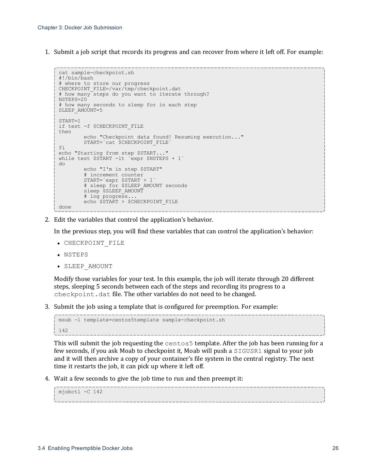1. Submit a job script that records its progress and can recover from where it left off. For example:

```
cat sample-checkpoint.sh
#!/bin/bash
# where to store our progress
CHECKPOINT_FILE=/var/tmp/checkpoint.dat
# how many steps do you want to iterate through?
NSTEPS=20
# how many seconds to sleep for in each step
SLEEP_AMOUNT=5
START=1
if test -f $CHECKPOINT_FILE
then
       echo "Checkpoint data found! Resuming execution..."
       START=`cat $CHECKPOINT_FILE`
fi
echo "Starting from step $START..."
while test $START -lt `expr $NSTEPS + 1`
do
        echo "I'm in step $START"
        # increment counter
        START=`expr $START + 1`
        # sleep for $SLEEP_AMOUNT seconds
       sleep $SLEEP AMOUNT
        # log progress...
       echo $START > $CHECKPOINT_FILE
done
```
2. Edit the variables that control the application's behavior.

In the previous step, you will find these variables that can control the application's behavior:

- CHECKPOINT FILE
- $\bullet$  NSTEPS
- SLEEP AMOUNT

Modify those variables for your test. In this example, the job will iterate through 20 different steps, sleeping 5 seconds between each of the steps and recording its progress to a checkpoint.dat file. The other variables do not need to be changed.

3. Submit the job using a template that is configured for preemption. For example:

```
msub -l template=centos5template sample-checkpoint.sh
142
```
This will submit the job requesting the centos5 template. After the job has been running for a few seconds, if you ask Moab to checkpoint it, Moab will push a SIGUSR1 signal to your job and it will then archive a copy of your container's file system in the central registry. The next time it restarts the job, it can pick up where it left off.

4. Wait a few seconds to give the job time to run and then preempt it:

```
mjobctl -C 142
```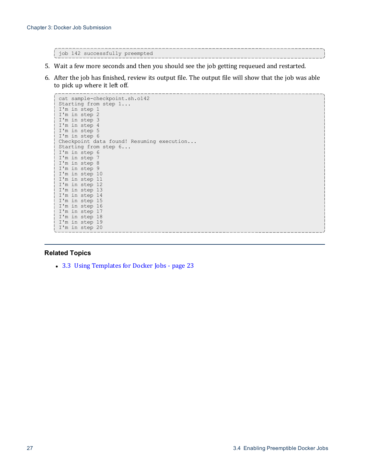job 142 successfully preempted

- 5. Wait a few more seconds and then you should see the job getting requeued and restarted.
- 6. After the job has finished, review its output file. The output file will show that the job was able to pick up where it left off.

```
cat sample-checkpoint.sh.o142
Starting from step 1...
I'm in step 1
I'm in step 2
I'm in step 3
I'm in step 4
I'm in step 5
I'm in step 6
Checkpoint data found! Resuming execution...
Starting from step 6...
I'm in step 6
I'm in step 7
I'm in step 8
I'm in step 9
I'm in step 10
I'm in step 11
I'm in step 12
I'm in step 13
I'm in step 14
I'm in step 15
I'm in step 16
I'm in step 17
I'm in step 18
I'm in step 19
I'm in step 20
```
#### **Related Topics**

• 3.3 Using [Templates](#page-22-2) for Docker Jobs - page 23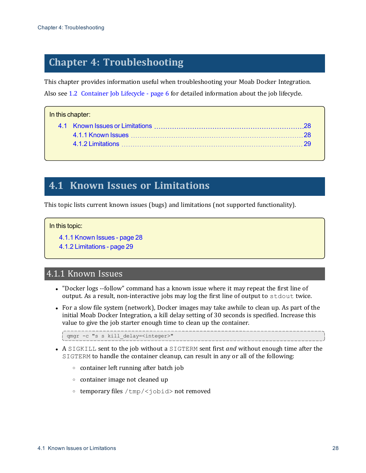# <span id="page-27-0"></span>**Chapter 4: Troubleshooting**

This chapter provides information useful when troubleshooting your Moab Docker Integration. Also see 1.2 [Container](#page-5-2) Job Lifecycle - page 6 for detailed information about the job lifecycle.

#### In this chapter:

# <span id="page-27-1"></span>**4.1 Known Issues or Limitations**

This topic lists current known issues (bugs) and limitations (not supported functionality).

#### In this topic:

4.1.1 [Known](#page-27-2) Issues - page 28

4.1.2 [Limitations](#page-28-0) - page 29

# <span id="page-27-2"></span>4.1.1 Known Issues

- "Docker logs --follow" command has a known issue where it may repeat the first line of output. As a result, non-interactive jobs may log the first line of output to stdout twice.
- For a slow file system (network), Docker images may take awhile to clean up. As part of the initial Moab Docker Integration, a kill delay setting of 30 seconds is specified. Increase this value to give the job starter enough time to clean up the container.

```
qmgr -c "s s kill_delay=<integer>"
```
- <sup>l</sup> A SIGKILL sent to the job without a SIGTERM sent first *and* without enough time after the SIGTERM to handle the container cleanup, can result in any or all of the following:
	- <sup>o</sup> container left running after batch job
	- <sup>o</sup> container image not cleaned up
	- <sup>o</sup> temporary files /tmp/<jobid> not removed